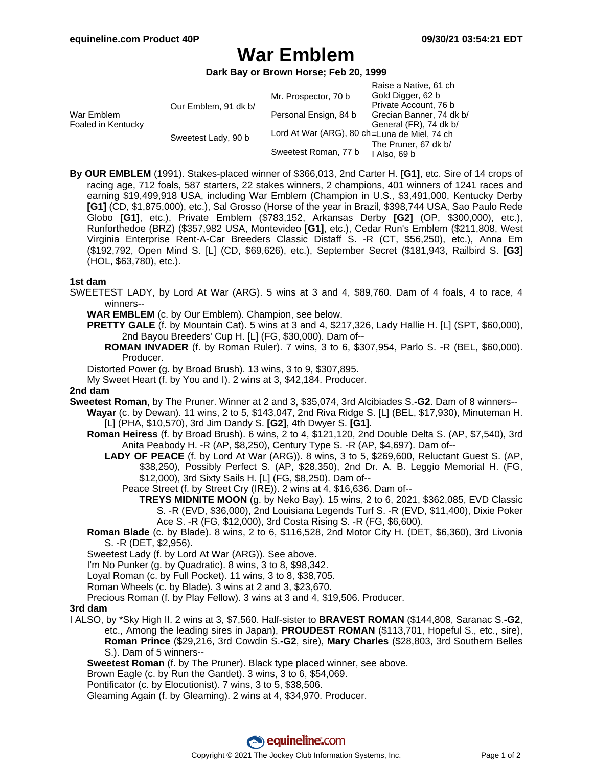# **War Emblem**

**Dark Bay or Brown Horse; Feb 20, 1999**

|                                  |                      |                                              | Raise a Native, 61 ch    |
|----------------------------------|----------------------|----------------------------------------------|--------------------------|
| War Emblem<br>Foaled in Kentucky | Our Emblem, 91 dk b/ | Mr. Prospector, 70 b                         | Gold Digger, 62 b        |
|                                  |                      |                                              | Private Account, 76 b    |
|                                  |                      | Personal Ensign, 84 b                        | Grecian Banner, 74 dk b/ |
|                                  |                      |                                              | General (FR), 74 dk b/   |
|                                  | Sweetest Lady, 90 b  | Lord At War (ARG), 80 ch=Luna de Miel, 74 ch |                          |
|                                  |                      |                                              | The Pruner, 67 dk b/     |
|                                  |                      | Sweetest Roman, 77 b                         | I Also, 69 b             |
|                                  |                      |                                              |                          |

**By OUR EMBLEM** (1991). Stakes-placed winner of \$366,013, 2nd Carter H. **[G1]**, etc. Sire of 14 crops of racing age, 712 foals, 587 starters, 22 stakes winners, 2 champions, 401 winners of 1241 races and earning \$19,499,918 USA, including War Emblem (Champion in U.S., \$3,491,000, Kentucky Derby **[G1]** (CD, \$1,875,000), etc.), Sal Grosso (Horse of the year in Brazil, \$398,744 USA, Sao Paulo Rede Globo **[G1]**, etc.), Private Emblem (\$783,152, Arkansas Derby **[G2]** (OP, \$300,000), etc.), Runforthedoe (BRZ) (\$357,982 USA, Montevideo **[G1]**, etc.), Cedar Run's Emblem (\$211,808, West Virginia Enterprise Rent-A-Car Breeders Classic Distaff S. -R (CT, \$56,250), etc.), Anna Em (\$192,792, Open Mind S. [L] (CD, \$69,626), etc.), September Secret (\$181,943, Railbird S. **[G3]** (HOL, \$63,780), etc.).

#### **1st dam**

- SWEETEST LADY, by Lord At War (ARG). 5 wins at 3 and 4, \$89,760. Dam of 4 foals, 4 to race, 4 winners--
	- **WAR EMBLEM** (c. by Our Emblem). Champion, see below.
	- **PRETTY GALE** (f. by Mountain Cat). 5 wins at 3 and 4, \$217,326, Lady Hallie H. [L] (SPT, \$60,000), 2nd Bayou Breeders' Cup H. [L] (FG, \$30,000). Dam of--
	- **ROMAN INVADER** (f. by Roman Ruler). 7 wins, 3 to 6, \$307,954, Parlo S. -R (BEL, \$60,000). Producer.

Distorted Power (g. by Broad Brush). 13 wins, 3 to 9, \$307,895.

My Sweet Heart (f. by You and I). 2 wins at 3, \$42,184. Producer.

#### **2nd dam**

**Sweetest Roman**, by The Pruner. Winner at 2 and 3, \$35,074, 3rd Alcibiades S.**-G2**. Dam of 8 winners--

- **Wayar** (c. by Dewan). 11 wins, 2 to 5, \$143,047, 2nd Riva Ridge S. [L] (BEL, \$17,930), Minuteman H. [L] (PHA, \$10,570), 3rd Jim Dandy S. **[G2]**, 4th Dwyer S. **[G1]**.
- **Roman Heiress** (f. by Broad Brush). 6 wins, 2 to 4, \$121,120, 2nd Double Delta S. (AP, \$7,540), 3rd Anita Peabody H. -R (AP, \$8,250), Century Type S. -R (AP, \$4,697). Dam of--
	- **LADY OF PEACE** (f. by Lord At War (ARG)). 8 wins, 3 to 5, \$269,600, Reluctant Guest S. (AP, \$38,250), Possibly Perfect S. (AP, \$28,350), 2nd Dr. A. B. Leggio Memorial H. (FG, \$12,000), 3rd Sixty Sails H. [L] (FG, \$8,250). Dam of--
		- Peace Street (f. by Street Cry (IRE)). 2 wins at 4, \$16,636. Dam of--
			- **TREYS MIDNITE MOON** (g. by Neko Bay). 15 wins, 2 to 6, 2021, \$362,085, EVD Classic S. -R (EVD, \$36,000), 2nd Louisiana Legends Turf S. -R (EVD, \$11,400), Dixie Poker Ace S. -R (FG, \$12,000), 3rd Costa Rising S. -R (FG, \$6,600).
- **Roman Blade** (c. by Blade). 8 wins, 2 to 6, \$116,528, 2nd Motor City H. (DET, \$6,360), 3rd Livonia S. -R (DET, \$2,956).
- Sweetest Lady (f. by Lord At War (ARG)). See above.

I'm No Punker (g. by Quadratic). 8 wins, 3 to 8, \$98,342.

Loyal Roman (c. by Full Pocket). 11 wins, 3 to 8, \$38,705.

Roman Wheels (c. by Blade). 3 wins at 2 and 3, \$23,670.

Precious Roman (f. by Play Fellow). 3 wins at 3 and 4, \$19,506. Producer.

## **3rd dam**

I ALSO, by \*Sky High II. 2 wins at 3, \$7,560. Half-sister to **BRAVEST ROMAN** (\$144,808, Saranac S.**-G2**, etc., Among the leading sires in Japan), **PROUDEST ROMAN** (\$113,701, Hopeful S., etc., sire), **Roman Prince** (\$29,216, 3rd Cowdin S.**-G2**, sire), **Mary Charles** (\$28,803, 3rd Southern Belles S.). Dam of 5 winners--

**Sweetest Roman** (f. by The Pruner). Black type placed winner, see above.

Brown Eagle (c. by Run the Gantlet). 3 wins, 3 to 6, \$54,069.

Pontificator (c. by Elocutionist). 7 wins, 3 to 5, \$38,506.

Gleaming Again (f. by Gleaming). 2 wins at 4, \$34,970. Producer.